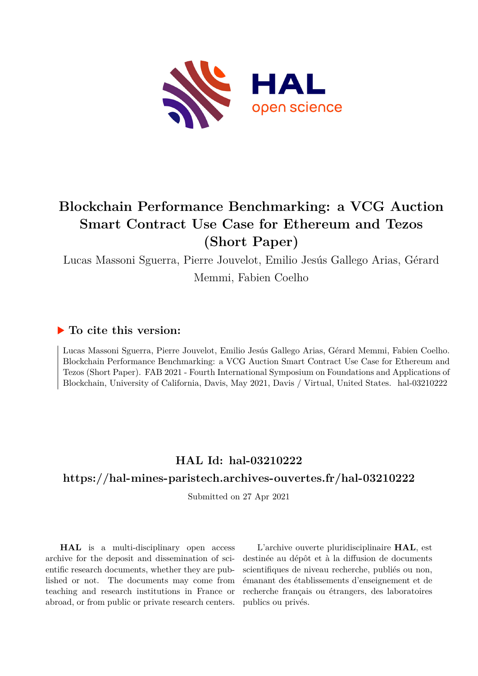

# **Blockchain Performance Benchmarking: a VCG Auction Smart Contract Use Case for Ethereum and Tezos (Short Paper)**

Lucas Massoni Sguerra, Pierre Jouvelot, Emilio Jesús Gallego Arias, Gérard Memmi, Fabien Coelho

## **To cite this version:**

Lucas Massoni Sguerra, Pierre Jouvelot, Emilio Jesús Gallego Arias, Gérard Memmi, Fabien Coelho. Blockchain Performance Benchmarking: a VCG Auction Smart Contract Use Case for Ethereum and Tezos (Short Paper). FAB 2021 - Fourth International Symposium on Foundations and Applications of Blockchain, University of California, Davis, May 2021, Davis / Virtual, United States. hal-03210222

# **HAL Id: hal-03210222**

## **<https://hal-mines-paristech.archives-ouvertes.fr/hal-03210222>**

Submitted on 27 Apr 2021

**HAL** is a multi-disciplinary open access archive for the deposit and dissemination of scientific research documents, whether they are published or not. The documents may come from teaching and research institutions in France or abroad, or from public or private research centers.

L'archive ouverte pluridisciplinaire **HAL**, est destinée au dépôt et à la diffusion de documents scientifiques de niveau recherche, publiés ou non, émanant des établissements d'enseignement et de recherche français ou étrangers, des laboratoires publics ou privés.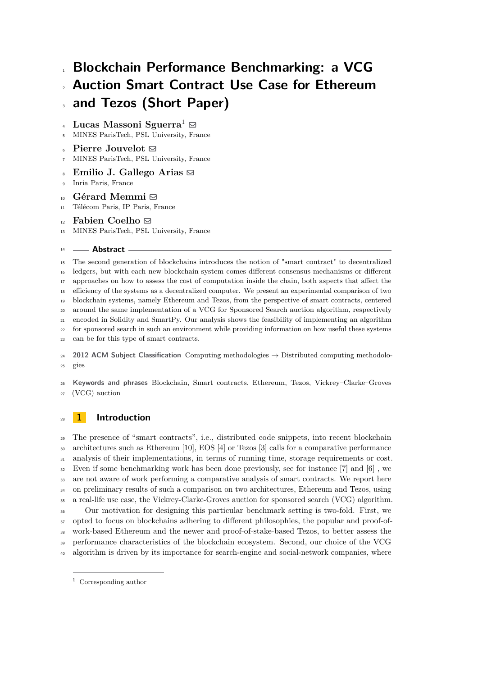# **Blockchain Performance Benchmarking: a VCG Auction Smart Contract Use Case for Ethereum and Tezos (Short Paper)**

- **Lucas Massoni Sguerra**  $\boxtimes$
- MINES ParisTech, PSL University, France
- **Pierre Jouvelot** !
- MINES ParisTech, PSL University, France
- **Emilio J. Gallego Arias** !
- Inria Paris, France
- 10 **Gérard Memmi**  $\boxtimes$
- Télécom Paris, IP Paris, France

## 12 **Fabien Coelho**  $\boxtimes$

MINES ParisTech, PSL University, France

## **Abstract**

 The second generation of blockchains introduces the notion of "smart contract" to decentralized <sup>16</sup> ledgers, but with each new blockchain system comes different consensus mechanisms or different 17 approaches on how to assess the cost of computation inside the chain, both aspects that affect the eciency of the systems as a decentralized computer. We present an experimental comparison of two blockchain systems, namely Ethereum and Tezos, from the perspective of smart contracts, centered around the same implementation of a VCG for Sponsored Search auction algorithm, respectively encoded in Solidity and SmartPy. Our analysis shows the feasibility of implementing an algorithm for sponsored search in such an environment while providing information on how useful these systems can be for this type of smart contracts.

24 **2012 ACM Subject Classification** Computing methodologies  $\rightarrow$  Distributed computing methodologies gies gies

 **Keywords and phrases** Blockchain, Smart contracts, Ethereum, Tezos, Vickrey–Clarke–Groves (VCG) auction

## **1 Introduction**

 The presence of "smart contracts", i.e., distributed code snippets, into recent blockchain architectures such as Ethereum [10], EOS [4] or Tezos [3] calls for a comparative performance analysis of their implementations, in terms of running time, storage requirements or cost. Even if some benchmarking work has been done previously, see for instance [7] and [6], we are not aware of work performing a comparative analysis of smart contracts. We report here <sup>34</sup> on preliminary results of such a comparison on two architectures, Ethereum and Tezos, using a real-life use case, the Vickrey-Clarke-Groves auction for sponsored search (VCG) algorithm. Our motivation for designing this particular benchmark setting is two-fold. First, we 37 opted to focus on blockchains adhering to different philosophies, the popular and proof-of- work-based Ethereum and the newer and proof-of-stake-based Tezos, to better assess the performance characteristics of the blockchain ecosystem. Second, our choice of the VCG algorithm is driven by its importance for search-engine and social-network companies, where

Corresponding author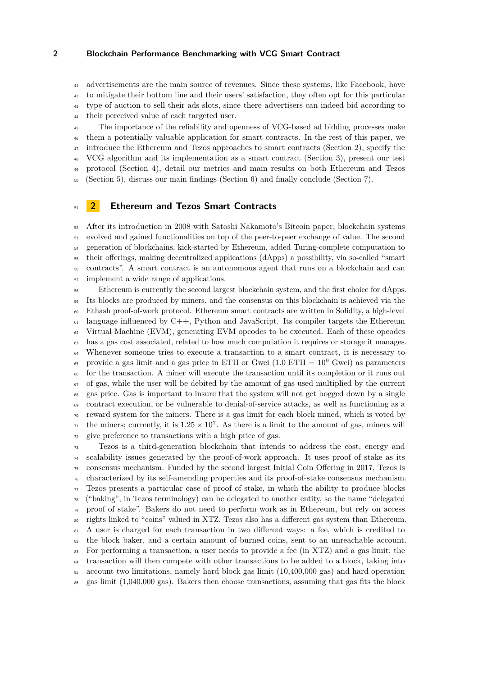## **2 Blockchain Performance Benchmarking with VCG Smart Contract**

 advertisements are the main source of revenues. Since these systems, like Facebook, have to mitigate their bottom line and their users' satisfaction, they often opt for this particular type of auction to sell their ads slots, since there advertisers can indeed bid according to their perceived value of each targeted user.

<sup>45</sup> The importance of the reliability and openness of VCG-based ad bidding processes make them a potentially valuable application for smart contracts. In the rest of this paper, we <sup>47</sup> introduce the Ethereum and Tezos approaches to smart contracts (Section 2), specify the VCG algorithm and its implementation as a smart contract (Section 3), present our test protocol (Section 4), detail our metrics and main results on both Ethereum and Tezos

(Section 5), discuss our main findings (Section 6) and finally conclude (Section 7).

## **2 Ethereum and Tezos Smart Contracts**

 After its introduction in 2008 with Satoshi Nakamoto's Bitcoin paper, blockchain systems evolved and gained functionalities on top of the peer-to-peer exchange of value. The second generation of blockchains, kick-started by Ethereum, added Turing-complete computation to <sub>55</sub> their offerings, making decentralized applications (dApps) a possibility, via so-called "smart contracts". A smart contract is an autonomous agent that runs on a blockchain and can implement a wide range of applications.

 Ethereum is currently the second largest blockchain system, and the first choice for dApps. Its blocks are produced by miners, and the consensus on this blockchain is achieved via the Ethash proof-of-work protocol. Ethereum smart contracts are written in Solidity, a high-level language influenced by C++, Python and JavaScript. Its compiler targets the Ethereum Virtual Machine (EVM), generating EVM opcodes to be executed. Each of these opcodes has a gas cost associated, related to how much computation it requires or storage it manages. Whenever someone tries to execute a transaction to a smart contract, it is necessary to <sup>65</sup> provide a gas limit and a gas price in ETH or Gwei  $(1.0 \text{ ETH} = 10^9 \text{ Gwei})$  as parameters for the transaction. A miner will execute the transaction until its completion or it runs out  $\sigma$  of gas, while the user will be debited by the amount of gas used multiplied by the current gas price. Gas is important to insure that the system will not get bogged down by a single contract execution, or be vulnerable to denial-of-service attacks, as well as functioning as a  $\pi$  reward system for the miners. There is a gas limit for each block mined, which is voted by the miners; currently, it is  $1.25 \times 10^7$ . As there is a limit to the amount of gas, miners will give preference to transactions with a high price of gas.

 Tezos is a third-generation blockchain that intends to address the cost, energy and scalability issues generated by the proof-of-work approach. It uses proof of stake as its  $\tau$ <sub>5</sub> consensus mechanism. Funded by the second largest Initial Coin Offering in 2017, Tezos is characterized by its self-amending properties and its proof-of-stake consensus mechanism.  $\pi$  Tezos presents a particular case of proof of stake, in which the ability to produce blocks ("baking", in Tezos terminology) can be delegated to another entity, so the name "delegated proof of stake". Bakers do not need to perform work as in Ethereum, but rely on access rights linked to "coins" valued in XTZ. Tezos also has a dierent gas system than Ethereum. 81 A user is charged for each transaction in two different ways: a fee, which is credited to the block baker, and a certain amount of burned coins, sent to an unreachable account. For performing a transaction, a user needs to provide a fee (in XTZ) and a gas limit; the <sup>84</sup> transaction will then compete with other transactions to be added to a block, taking into account two limitations, namely hard block gas limit (10,400,000 gas) and hard operation gas limit (1,040,000 gas). Bakers then choose transactions, assuming that gas fits the block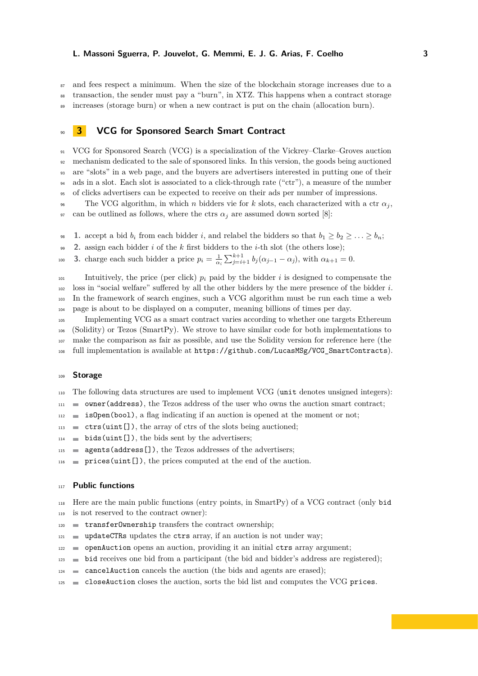and fees respect a minimum. When the size of the blockchain storage increases due to a transaction, the sender must pay a "burn", in XTZ. This happens when a contract storage increases (storage burn) or when a new contract is put on the chain (allocation burn).

**3 VCG for Sponsored Search Smart Contract**

 VCG for Sponsored Search (VCG) is a specialization of the Vickrey–Clarke–Groves auction mechanism dedicated to the sale of sponsored links. In this version, the goods being auctioned are "slots" in a web page, and the buyers are advertisers interested in putting one of their ads in a slot. Each slot is associated to a click-through rate ("ctr"), a measure of the number of clicks advertisers can be expected to receive on their ads per number of impressions.

<sup>96</sup> The VCG algorithm, in which *n* bidders vie for *k* slots, each characterized with a ctr  $\alpha_j$ , 97 can be outlined as follows, where the ctrs  $\alpha_j$  are assumed down sorted [8]:

98 **1.** accept a bid  $b_i$  from each bidder *i*, and relabel the bidders so that  $b_1 \geq b_2 \geq \ldots \geq b_n$ ;

**2.** assign each bidder *i* of the *k* first bidders to the *i*-th slot (the others lose);

**3.** charge each such bidder a price  $p_i = \frac{1}{\alpha_i} \sum_{j=i+1}^{k+1} b_j (\alpha_{j-1} - \alpha_j)$ , with  $\alpha_{k+1} = 0$ .

101 Intuitively, the price (per click)  $p_i$  paid by the bidder *i* is designed to compensate the loss in "social welfare" suffered by all the other bidders by the mere presence of the bidder  $i$ . In the framework of search engines, such a VCG algorithm must be run each time a web page is about to be displayed on a computer, meaning billions of times per day.

 Implementing VCG as a smart contract varies according to whether one targets Ethereum (Solidity) or Tezos (SmartPy). We strove to have similar code for both implementations to make the comparison as fair as possible, and use the Solidity version for reference here (the full implementation is available at https://github.com/LucasMSg/VCG\_SmartContracts).

#### **Storage**

- The following data structures are used to implement VCG (unit denotes unsigned integers):
- $\equiv$  owner(address), the Tezos address of the user who owns the auction smart contract;
- **isOpen(bool)**, a flag indicating if an auction is opened at the moment or not;
- $\equiv$  **ctrs(uint[])**, the array of ctrs of the slots being auctioned;
- $_{114}$   $\blacksquare$  bids(uint[]), the bids sent by the advertisers;
- **agents(address[])**, the Tezos addresses of the advertisers;
- $_{116}$  = prices(uint[]), the prices computed at the end of the auction.

### **Public functions**

 Here are the main public functions (entry points, in SmartPy) of a VCG contract (only bid is not reserved to the contract owner):

- $_{120}$   $\blacksquare$  transfer0wnership transfers the contract ownership;
- $_{121}$  updateCTRs updates the ctrs array, if an auction is not under way;
- **openAuction** opens an auction, providing it an initial ctrs array argument;
- 123 bid receives one bid from a participant (the bid and bidder's address are registered);
- **e** cancelAuction cancels the auction (the bids and agents are erased);
- eloseAuction closes the auction, sorts the bid list and computes the VCG prices.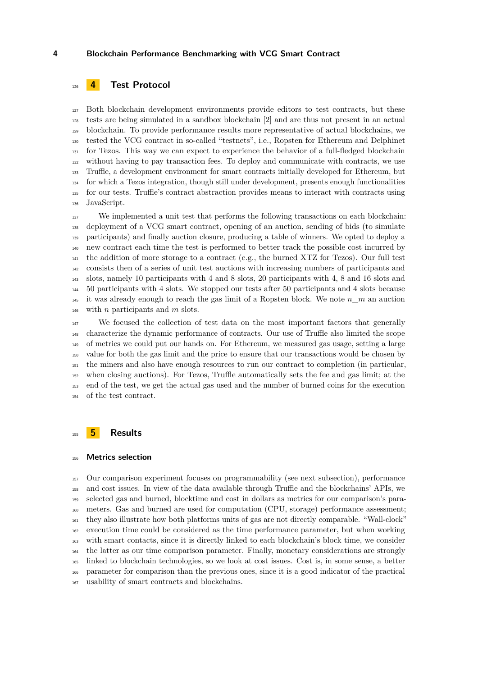### **4 Blockchain Performance Benchmarking with VCG Smart Contract**

## **4 Test Protocol**

 Both blockchain development environments provide editors to test contracts, but these tests are being simulated in a sandbox blockchain [2] and are thus not present in an actual blockchain. To provide performance results more representative of actual blockchains, we tested the VCG contract in so-called "testnets", i.e., Ropsten for Ethereum and Delphinet for Tezos. This way we can expect to experience the behavior of a full-fledged blockchain without having to pay transaction fees. To deploy and communicate with contracts, we use 133 Truffle, a development environment for smart contracts initially developed for Ethereum, but for which a Tezos integration, though still under development, presents enough functionalities 135 for our tests. Truffle's contract abstraction provides means to interact with contracts using JavaScript.

<sup>137</sup> We implemented a unit test that performs the following transactions on each blockchain: deployment of a VCG smart contract, opening of an auction, sending of bids (to simulate participants) and finally auction closure, producing a table of winners. We opted to deploy a new contract each time the test is performed to better track the possible cost incurred by the addition of more storage to a contract (e.g., the burned XTZ for Tezos). Our full test consists then of a series of unit test auctions with increasing numbers of participants and slots, namely 10 participants with 4 and 8 slots, 20 participants with 4, 8 and 16 slots and 50 participants with 4 slots. We stopped our tests after 50 participants and 4 slots because <sup>145</sup> it was already enough to reach the gas limit of a Ropsten block. We note *n*<sub>*m*</sub> an auction with *n* participants and *m* slots.

<sup>147</sup> We focused the collection of test data on the most important factors that generally characterize the dynamic performance of contracts. Our use of True also limited the scope of metrics we could put our hands on. For Ethereum, we measured gas usage, setting a large value for both the gas limit and the price to ensure that our transactions would be chosen by the miners and also have enough resources to run our contract to completion (in particular, 152 when closing auctions). For Tezos, Truffle automatically sets the fee and gas limit; at the end of the test, we get the actual gas used and the number of burned coins for the execution of the test contract.

## **5 Results**

#### **Metrics selection**

 Our comparison experiment focuses on programmability (see next subsection), performance and cost issues. In view of the data available through True and the blockchains' APIs, we selected gas and burned, blocktime and cost in dollars as metrics for our comparison's para- meters. Gas and burned are used for computation (CPU, storage) performance assessment; they also illustrate how both platforms units of gas are not directly comparable. "Wall-clock" execution time could be considered as the time performance parameter, but when working with smart contacts, since it is directly linked to each blockchain's block time, we consider the latter as our time comparison parameter. Finally, monetary considerations are strongly linked to blockchain technologies, so we look at cost issues. Cost is, in some sense, a better parameter for comparison than the previous ones, since it is a good indicator of the practical usability of smart contracts and blockchains.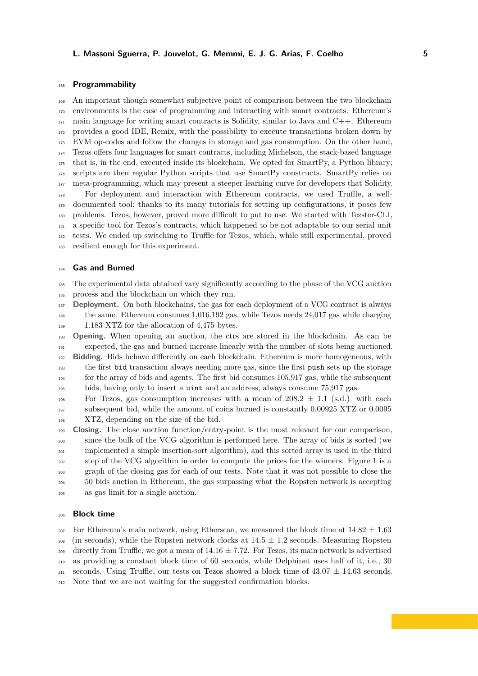#### **Programmability**

<sup>169</sup> An important though somewhat subjective point of comparison between the two blockchain environments is the ease of programming and interacting with smart contracts. Ethereum's  $_{171}$  main language for writing smart contracts is Solidity, similar to Java and C++. Ethereum provides a good IDE, Remix, with the possibility to execute transactions broken down by EVM op-codes and follow the changes in storage and gas consumption. On the other hand, <sup>174</sup> Tezos offers four languages for smart contracts, including Michelson, the stack-based language that is, in the end, executed inside its blockchain. We opted for SmartPy, a Python library; scripts are then regular Python scripts that use SmartPy constructs. SmartPy relies on meta-programming, which may present a steeper learning curve for developers that Solidity. For deployment and interaction with Ethereum contracts, we used True, a well- documented tool; thanks to its many tutorials for setting up configurations, it poses few 180 problems. Tezos, however, proved more difficult to put to use. We started with Tezster-CLI,

 a specific tool for Tezos's contracts, which happened to be not adaptable to our serial unit 182 tests. We ended up switching to Truffle for Tezos, which, while still experimental, proved resilient enough for this experiment.

### **Gas and Burned**

 The experimental data obtained vary significantly according to the phase of the VCG auction process and the blockchain on which they run.

**Deployment.** On both blockchains, the gas for each deployment of a VCG contract is always

 the same. Ethereum consumes 1,016,192 gas, while Tezos needs 24,017 gas while charging 189 1.183 XTZ for the allocation of 4,475 bytes.

 **Opening.** When opening an auction, the ctrs are stored in the blockchain. As can be expected, the gas and burned increase linearly with the number of slots being auctioned. **Bidding.** Bids behave differently on each blockchain. Ethereum is more homogeneous, with the first bid transaction always needing more gas, since the first push sets up the storage

 for the array of bids and agents. The first bid consumes 105,917 gas, while the subsequent bids, having only to insert a uint and an address, always consume 75,917 gas.

196 For Tezos, gas consumption increases with a mean of  $208.2 \pm 1.1$  (s.d.) with each subsequent bid, while the amount of coins burned is constantly 0.00925 XTZ or 0.0095 XTZ, depending on the size of the bid.

 **Closing.** The close auction function/entry-point is the most relevant for our comparison, since the bulk of the VCG algorithm is performed here. The array of bids is sorted (we implemented a simple insertion-sort algorithm), and this sorted array is used in the third step of the VCG algorithm in order to compute the prices for the winners. Figure 1 is a graph of the closing gas for each of our tests. Note that it was not possible to close the 50 bids auction in Ethereum, the gas surpassing what the Ropsten network is accepting as gas limit for a single auction.

## **Block time**

<sup>207</sup> For Ethereum's main network, using Etherscan, we measured the block time at  $14.82 \pm 1.63$ <sup>208</sup> (in seconds), while the Ropsten network clocks at  $14.5 \pm 1.2$  seconds. Measuring Ropsten <sup>209</sup> directly from Truffle, we got a mean of  $14.16 \pm 7.72$ . For Tezos, its main network is advertised as providing a constant block time of 60 seconds, while Delphinet uses half of it, i.e., 30 <sub>211</sub> seconds. Using Truffle, our tests on Tezos showed a block time of  $43.07 \pm 14.63$  seconds. Note that we are not waiting for the suggested confirmation blocks.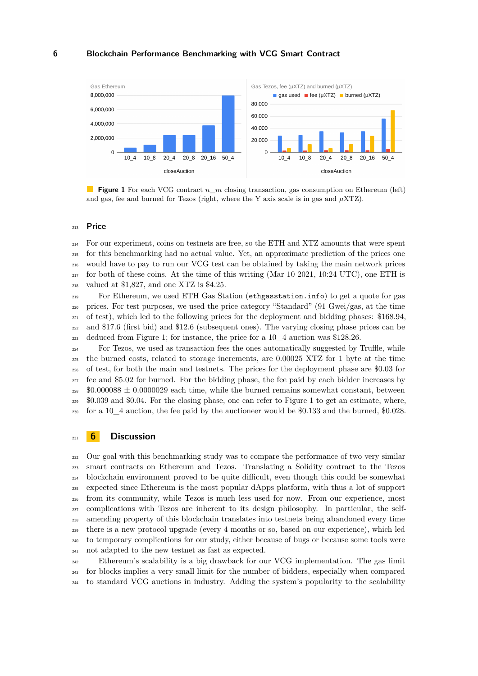### **6 Blockchain Performance Benchmarking with VCG Smart Contract**



**Figure 1** For each VCG contract *n*<sub>*m*</sub> closing transaction, gas consumption on Ethereum (left) and gas, fee and burned for Tezos (right, where the Y axis scale is in gas and  $\mu$ XTZ).

#### **Price**

 For our experiment, coins on testnets are free, so the ETH and XTZ amounts that were spent for this benchmarking had no actual value. Yet, an approximate prediction of the prices one would have to pay to run our VCG test can be obtained by taking the main network prices  $_{217}$  for both of these coins. At the time of this writing (Mar 10 2021, 10:24 UTC), one ETH is valued at \$1,827, and one XTZ is \$4.25.

 For Ethereum, we used ETH Gas Station (ethgasstation.info) to get a quote for gas  $_{220}$  prices. For test purposes, we used the price category "Standard" (91 Gwei/gas, at the time of test), which led to the following prices for the deployment and bidding phases: \$168.94, and \$17.6 (first bid) and \$12.6 (subsequent ones). The varying closing phase prices can be deduced from Figure 1; for instance, the price for a 10\_4 auction was \$128.26.

 $_{224}$  For Tezos, we used as transaction fees the ones automatically suggested by Truffle, while the burned costs, related to storage increments, are 0.00025 XTZ for 1 byte at the time of test, for both the main and testnets. The prices for the deployment phase are \$0.03 for fee and \$5.02 for burned. For the bidding phase, the fee paid by each bidder increases by  $228 \quad $0.000088 \pm 0.0000029$  each time, while the burned remains somewhat constant, between \$0.039 and \$0.04. For the closing phase, one can refer to Figure 1 to get an estimate, where, for a 10\_4 auction, the fee paid by the auctioneer would be \$0.133 and the burned, \$0.028.

## **6 Discussion**

 Our goal with this benchmarking study was to compare the performance of two very similar smart contracts on Ethereum and Tezos. Translating a Solidity contract to the Tezos <sup>234</sup> blockchain environment proved to be quite difficult, even though this could be somewhat expected since Ethereum is the most popular dApps platform, with thus a lot of support from its community, while Tezos is much less used for now. From our experience, most complications with Tezos are inherent to its design philosophy. In particular, the self- amending property of this blockchain translates into testnets being abandoned every time there is a new protocol upgrade (every 4 months or so, based on our experience), which led to temporary complications for our study, either because of bugs or because some tools were not adapted to the new testnet as fast as expected.

 Ethereum's scalability is a big drawback for our VCG implementation. The gas limit for blocks implies a very small limit for the number of bidders, especially when compared to standard VCG auctions in industry. Adding the system's popularity to the scalability